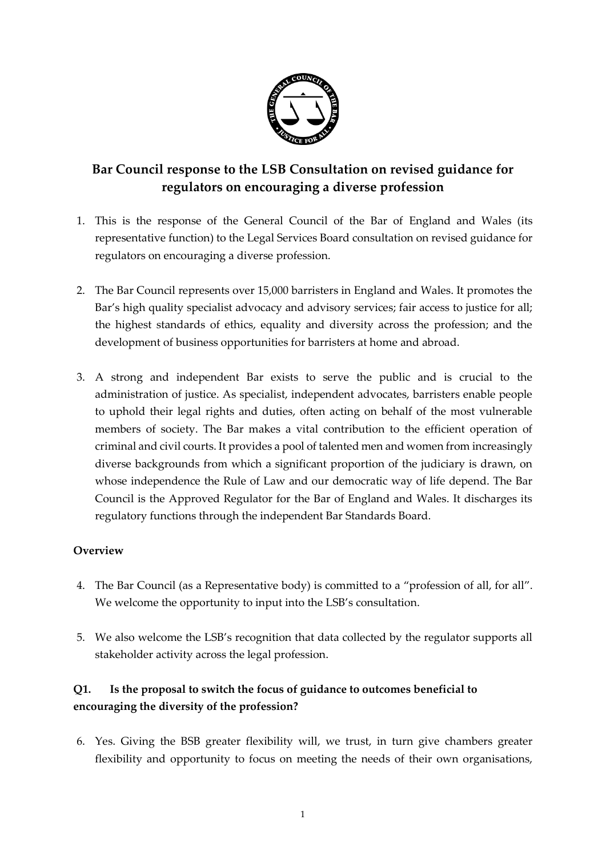

## **Bar Council response to the LSB Consultation on revised guidance for regulators on encouraging a diverse profession**

- 1. This is the response of the General Council of the Bar of England and Wales (its representative function) to the Legal Services Board consultation on revised guidance for regulators on encouraging a diverse profession.
- 2. The Bar Council represents over 15,000 barristers in England and Wales. It promotes the Bar's high quality specialist advocacy and advisory services; fair access to justice for all; the highest standards of ethics, equality and diversity across the profession; and the development of business opportunities for barristers at home and abroad.
- 3. A strong and independent Bar exists to serve the public and is crucial to the administration of justice. As specialist, independent advocates, barristers enable people to uphold their legal rights and duties, often acting on behalf of the most vulnerable members of society. The Bar makes a vital contribution to the efficient operation of criminal and civil courts. It provides a pool of talented men and women from increasingly diverse backgrounds from which a significant proportion of the judiciary is drawn, on whose independence the Rule of Law and our democratic way of life depend. The Bar Council is the Approved Regulator for the Bar of England and Wales. It discharges its regulatory functions through the independent Bar Standards Board.

#### **Overview**

- 4. The Bar Council (as a Representative body) is committed to a "profession of all, for all". We welcome the opportunity to input into the LSB's consultation.
- 5. We also welcome the LSB's recognition that data collected by the regulator supports all stakeholder activity across the legal profession.

#### **Q1. Is the proposal to switch the focus of guidance to outcomes beneficial to encouraging the diversity of the profession?**

6. Yes. Giving the BSB greater flexibility will, we trust, in turn give chambers greater flexibility and opportunity to focus on meeting the needs of their own organisations,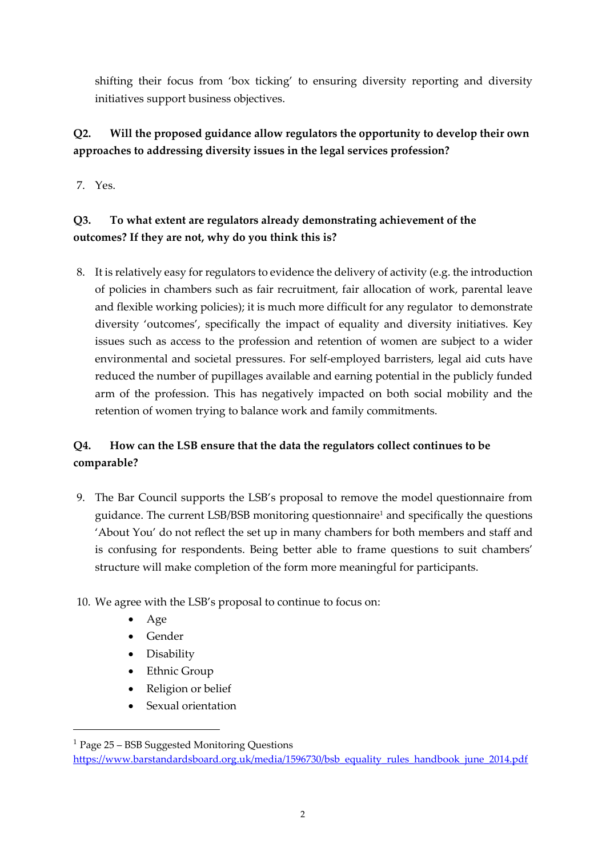shifting their focus from 'box ticking' to ensuring diversity reporting and diversity initiatives support business objectives.

#### **Q2. Will the proposed guidance allow regulators the opportunity to develop their own approaches to addressing diversity issues in the legal services profession?**

7. Yes.

#### **Q3. To what extent are regulators already demonstrating achievement of the outcomes? If they are not, why do you think this is?**

8. It is relatively easy for regulators to evidence the delivery of activity (e.g. the introduction of policies in chambers such as fair recruitment, fair allocation of work, parental leave and flexible working policies); it is much more difficult for any regulator to demonstrate diversity 'outcomes', specifically the impact of equality and diversity initiatives. Key issues such as access to the profession and retention of women are subject to a wider environmental and societal pressures. For self-employed barristers, legal aid cuts have reduced the number of pupillages available and earning potential in the publicly funded arm of the profession. This has negatively impacted on both social mobility and the retention of women trying to balance work and family commitments.

#### **Q4. How can the LSB ensure that the data the regulators collect continues to be comparable?**

- 9. The Bar Council supports the LSB's proposal to remove the model questionnaire from guidance. The current LSB/BSB monitoring questionnaire<sup>1</sup> and specifically the questions 'About You' do not reflect the set up in many chambers for both members and staff and is confusing for respondents. Being better able to frame questions to suit chambers' structure will make completion of the form more meaningful for participants.
- 10. We agree with the LSB's proposal to continue to focus on:
	- Age

-

- Gender
- Disability
- Ethnic Group
- Religion or belief
- Sexual orientation

<sup>1</sup> Page 25 – BSB Suggested Monitoring Questions

[https://www.barstandardsboard.org.uk/media/1596730/bsb\\_equality\\_rules\\_handbook\\_june\\_2014.pdf](https://www.barstandardsboard.org.uk/media/1596730/bsb_equality_rules_handbook_june_2014.pdf)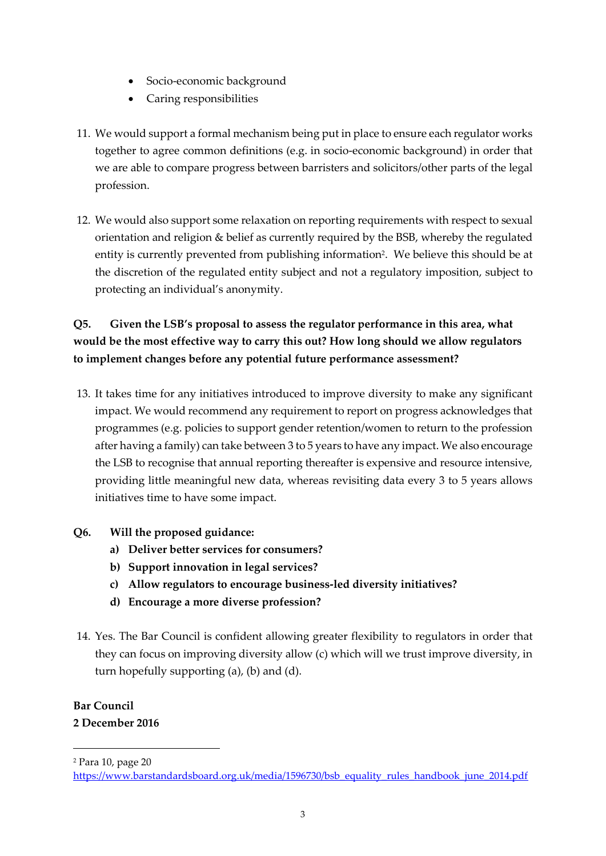- Socio-economic background
- Caring responsibilities
- 11. We would support a formal mechanism being put in place to ensure each regulator works together to agree common definitions (e.g. in socio-economic background) in order that we are able to compare progress between barristers and solicitors/other parts of the legal profession.
- 12. We would also support some relaxation on reporting requirements with respect to sexual orientation and religion & belief as currently required by the BSB, whereby the regulated entity is currently prevented from publishing information<sup>2</sup>. We believe this should be at the discretion of the regulated entity subject and not a regulatory imposition, subject to protecting an individual's anonymity.

### **Q5. Given the LSB's proposal to assess the regulator performance in this area, what would be the most effective way to carry this out? How long should we allow regulators to implement changes before any potential future performance assessment?**

13. It takes time for any initiatives introduced to improve diversity to make any significant impact. We would recommend any requirement to report on progress acknowledges that programmes (e.g. policies to support gender retention/women to return to the profession after having a family) can take between 3 to 5 years to have any impact. We also encourage the LSB to recognise that annual reporting thereafter is expensive and resource intensive, providing little meaningful new data, whereas revisiting data every 3 to 5 years allows initiatives time to have some impact.

#### **Q6. Will the proposed guidance:**

- **a) Deliver better services for consumers?**
- **b) Support innovation in legal services?**
- **c) Allow regulators to encourage business-led diversity initiatives?**
- **d) Encourage a more diverse profession?**
- 14. Yes. The Bar Council is confident allowing greater flexibility to regulators in order that they can focus on improving diversity allow (c) which will we trust improve diversity, in turn hopefully supporting (a), (b) and (d).

# **Bar Council**

-

#### **2 December 2016**

<sup>2</sup> Para 10, page 20

[https://www.barstandardsboard.org.uk/media/1596730/bsb\\_equality\\_rules\\_handbook\\_june\\_2014.pdf](https://www.barstandardsboard.org.uk/media/1596730/bsb_equality_rules_handbook_june_2014.pdf)